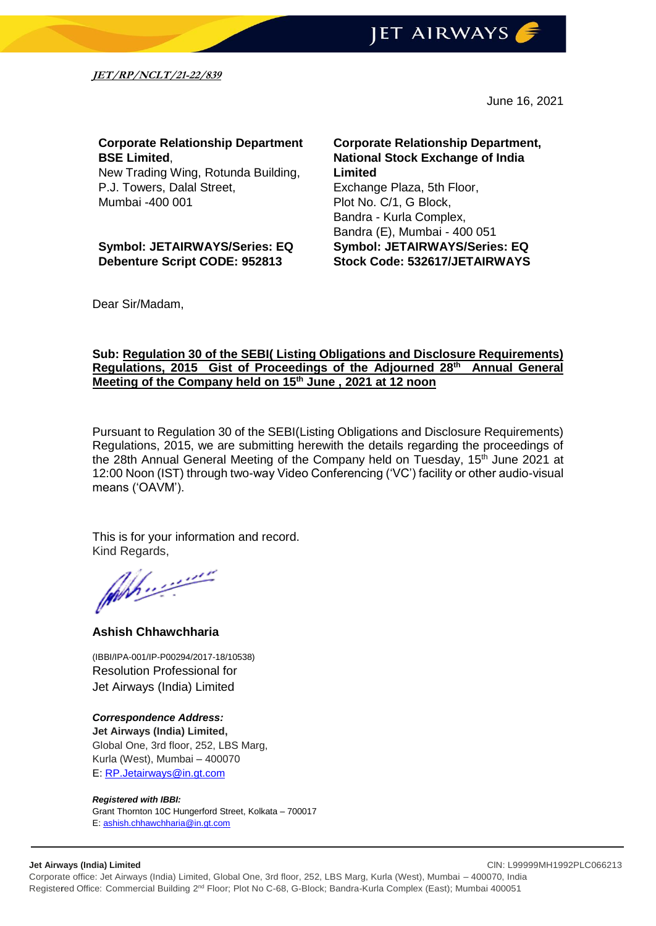

**JET/RP/NCLT/21-22/839**

June 16, 2021

# **Corporate Relationship Department BSE Limited**,

New Trading Wing, Rotunda Building, P.J. Towers, Dalal Street, Mumbai -400 001

**Symbol: JETAIRWAYS/Series: EQ Debenture Script CODE: 952813**

**Corporate Relationship Department, National Stock Exchange of India Limited** Exchange Plaza, 5th Floor, Plot No. C/1, G Block, Bandra - Kurla Complex, Bandra (E), Mumbai - 400 051 **Symbol: JETAIRWAYS/Series: EQ Stock Code: 532617/JETAIRWAYS**

Dear Sir/Madam,

## **Sub: Regulation 30 of the SEBI( Listing Obligations and Disclosure Requirements) Regulations, 2015 Gist of Proceedings of the Adjourned 28th Annual General Meeting of the Company held on 15th June , 2021 at 12 noon**

Pursuant to Regulation 30 of the SEBI(Listing Obligations and Disclosure Requirements) Regulations, 2015, we are submitting herewith the details regarding the proceedings of the 28th Annual General Meeting of the Company held on Tuesday, 15<sup>th</sup> June 2021 at 12:00 Noon (IST) through two-way Video Conferencing ('VC') facility or other audio-visual means ('OAVM').

This is for your information and record.

Kind Regards,

### **Ashish Chhawchharia**

(IBBI/IPA-001/IP-P00294/2017-18/10538) Resolution Professional for Jet Airways (India) Limited

#### *Correspondence Address:*

**Jet Airways (India) Limited,** Global One, 3rd floor, 252, LBS Marg, Kurla (West), Mumbai – 400070 E: [RP.Jetairways@in.gt.com](mailto:RP.Jetairways@in.gt.com)

#### *Registered with IBBI:*

Grant Thornton 10C Hungerford Street, Kolkata – 700017 E: [ashish.chhawchharia@in.gt.com](mailto:ashish.chhawchharia@in.gt.com)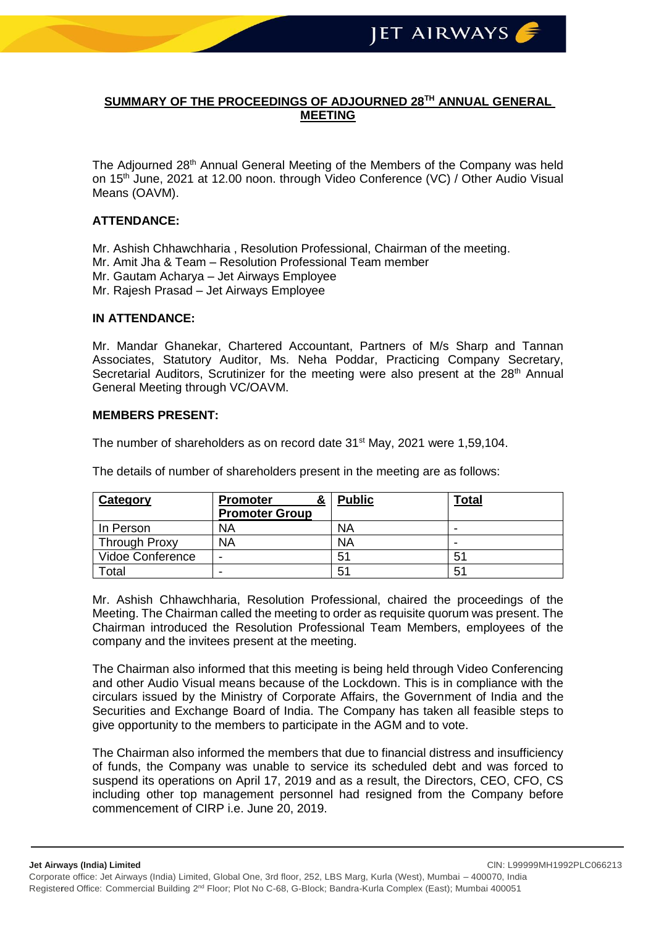# **SUMMARY OF THE PROCEEDINGS OF ADJOURNED 28TH ANNUAL GENERAL MEETING**

The Adjourned 28<sup>th</sup> Annual General Meeting of the Members of the Company was held on 15th June, 2021 at 12.00 noon. through Video Conference (VC) / Other Audio Visual Means (OAVM).

## **ATTENDANCE:**

Mr. Ashish Chhawchharia , Resolution Professional, Chairman of the meeting.

- Mr. Amit Jha & Team Resolution Professional Team member
- Mr. Gautam Acharya Jet Airways Employee
- Mr. Rajesh Prasad Jet Airways Employee

### **IN ATTENDANCE:**

Mr. Mandar Ghanekar, Chartered Accountant, Partners of M/s Sharp and Tannan Associates, Statutory Auditor, Ms. Neha Poddar, Practicing Company Secretary, Secretarial Auditors, Scrutinizer for the meeting were also present at the  $28<sup>th</sup>$  Annual General Meeting through VC/OAVM.

### **MEMBERS PRESENT:**

The number of shareholders as on record date  $31<sup>st</sup>$  May, 2021 were 1,59,104.

The details of number of shareholders present in the meeting are as follows:

| Category             | &<br><b>Promoter</b>  | <b>Public</b> | Total |
|----------------------|-----------------------|---------------|-------|
|                      | <b>Promoter Group</b> |               |       |
| In Person            | <b>NA</b>             | ΝA            | -     |
| <b>Through Proxy</b> | <b>NA</b>             | <b>NA</b>     | -     |
| Vidoe Conference     | -                     | 51            | 51    |
| Total                |                       | 51            | 51    |

Mr. Ashish Chhawchharia, Resolution Professional, chaired the proceedings of the Meeting. The Chairman called the meeting to order as requisite quorum was present. The Chairman introduced the Resolution Professional Team Members, employees of the company and the invitees present at the meeting.

The Chairman also informed that this meeting is being held through Video Conferencing and other Audio Visual means because of the Lockdown. This is in compliance with the circulars issued by the Ministry of Corporate Affairs, the Government of India and the Securities and Exchange Board of India. The Company has taken all feasible steps to give opportunity to the members to participate in the AGM and to vote.

The Chairman also informed the members that due to financial distress and insufficiency of funds, the Company was unable to service its scheduled debt and was forced to suspend its operations on April 17, 2019 and as a result, the Directors, CEO, CFO, CS including other top management personnel had resigned from the Company before commencement of CIRP i.e. June 20, 2019.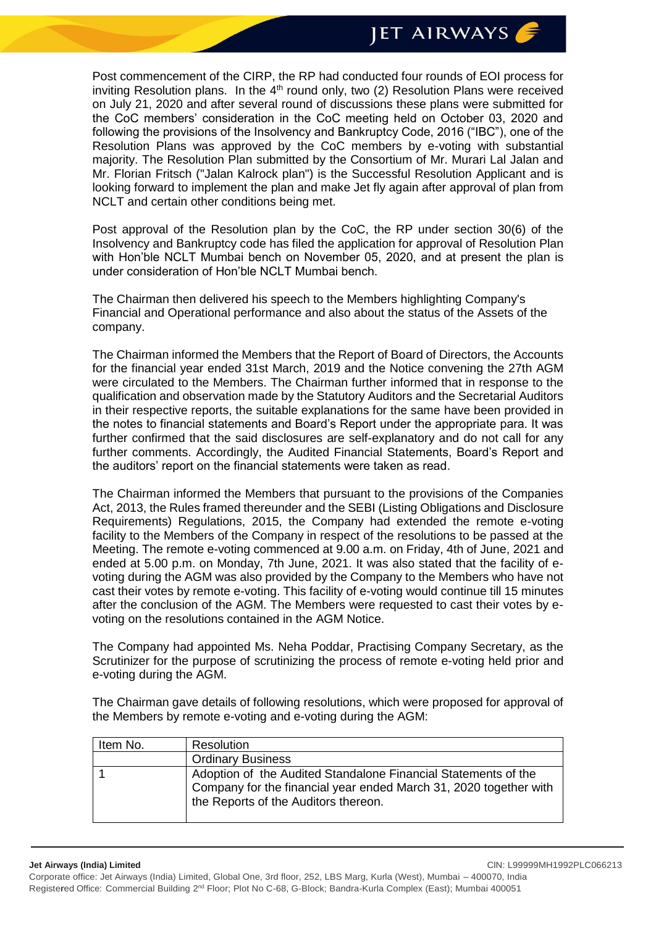**JET AIRWAYS** 

Post commencement of the CIRP, the RP had conducted four rounds of EOI process for inviting Resolution plans. In the  $4<sup>th</sup>$  round only, two (2) Resolution Plans were received on July 21, 2020 and after several round of discussions these plans were submitted for the CoC members' consideration in the CoC meeting held on October 03, 2020 and following the provisions of the Insolvency and Bankruptcy Code, 2016 ("IBC"), one of the Resolution Plans was approved by the CoC members by e-voting with substantial majority. The Resolution Plan submitted by the Consortium of Mr. Murari Lal Jalan and Mr. Florian Fritsch ("Jalan Kalrock plan") is the Successful Resolution Applicant and is looking forward to implement the plan and make Jet fly again after approval of plan from NCLT and certain other conditions being met.

Post approval of the Resolution plan by the CoC, the RP under section 30(6) of the Insolvency and Bankruptcy code has filed the application for approval of Resolution Plan with Hon'ble NCLT Mumbai bench on November 05, 2020, and at present the plan is under consideration of Hon'ble NCLT Mumbai bench.

The Chairman then delivered his speech to the Members highlighting Company's Financial and Operational performance and also about the status of the Assets of the company.

The Chairman informed the Members that the Report of Board of Directors, the Accounts for the financial year ended 31st March, 2019 and the Notice convening the 27th AGM were circulated to the Members. The Chairman further informed that in response to the qualification and observation made by the Statutory Auditors and the Secretarial Auditors in their respective reports, the suitable explanations for the same have been provided in the notes to financial statements and Board's Report under the appropriate para. It was further confirmed that the said disclosures are self-explanatory and do not call for any further comments. Accordingly, the Audited Financial Statements, Board's Report and the auditors' report on the financial statements were taken as read.

The Chairman informed the Members that pursuant to the provisions of the Companies Act, 2013, the Rules framed thereunder and the SEBI (Listing Obligations and Disclosure Requirements) Regulations, 2015, the Company had extended the remote e-voting facility to the Members of the Company in respect of the resolutions to be passed at the Meeting. The remote e-voting commenced at 9.00 a.m. on Friday, 4th of June, 2021 and ended at 5.00 p.m. on Monday, 7th June, 2021. It was also stated that the facility of evoting during the AGM was also provided by the Company to the Members who have not cast their votes by remote e-voting. This facility of e-voting would continue till 15 minutes after the conclusion of the AGM. The Members were requested to cast their votes by evoting on the resolutions contained in the AGM Notice.

The Company had appointed Ms. Neha Poddar, Practising Company Secretary, as the Scrutinizer for the purpose of scrutinizing the process of remote e-voting held prior and e-voting during the AGM.

The Chairman gave details of following resolutions, which were proposed for approval of the Members by remote e-voting and e-voting during the AGM:

| Item No. | Resolution                                                                                                                                                                  |
|----------|-----------------------------------------------------------------------------------------------------------------------------------------------------------------------------|
|          | <b>Ordinary Business</b>                                                                                                                                                    |
|          | Adoption of the Audited Standalone Financial Statements of the<br>Company for the financial year ended March 31, 2020 together with<br>the Reports of the Auditors thereon. |

**Jet Airways (India) Limited** ClN: L99999MH1992PLC066213 Corporate office: Jet Airways (India) Limited, Global One, 3rd floor, 252, LBS Marg, Kurla (West), Mumbai – 400070, India Registered Office: Commercial Building 2<sup>nd</sup> Floor; Plot No C-68, G-Block; Bandra-Kurla Complex (East); Mumbai 400051